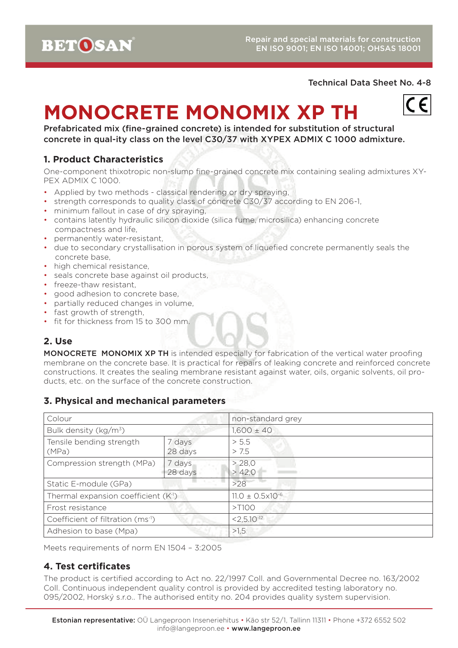## Technical Data Sheet No. 4-8

# **MONOCRETE MONOMIX XP TH**



Prefabricated mix (fine-grained concrete) is intended for substitution of structural concrete in qual-ity class on the level C30/37 with XYPEX ADMIX C 1000 admixture.

# **1. Product Characteristics**

One-component thixotropic non-slump fine-grained concrete mix containing sealing admixtures XY-PEX ADMIX C 1000.

- Applied by two methods classical rendering or dry spraying,
- strength corresponds to quality class of concrete C30/37 according to EN 206-1,
- minimum fallout in case of dry spraying,
- contains latently hydraulic silicon dioxide (silica fume, microsilica) enhancing concrete compactness and life,
- permanently water-resistant,
- due to secondary crystallisation in porous system of liquefied concrete permanently seals the concrete base,
- high chemical resistance.
- seals concrete base against oil products,
- freeze-thaw resistant,
- good adhesion to concrete base,
- partially reduced changes in volume,
- fast growth of strength,
- fit for thickness from 15 to 300 mm.

# **2. Use**

MONOCRETE MONOMIX XP TH is intended especially for fabrication of the vertical water proofing membrane on the concrete base. It is practical for repairs of leaking concrete and reinforced concrete constructions. It creates the sealing membrane resistant against water, oils, organic solvents, oil products, etc. on the surface of the concrete construction.

## **3. Physical and mechanical parameters**

| Colour                                           |                   | non-standard grey             |
|--------------------------------------------------|-------------------|-------------------------------|
| Bulk density (kg/m <sup>3</sup> )                |                   | $1,600 \pm 40$                |
| Tensile bending strength<br>(MPa)                | 7 days<br>28 days | > 5.5<br>> 7.5                |
| Compression strength (MPa)                       | 7 days<br>28 days | > 28,0<br>> 42,0              |
| Static E-module (GPa)                            |                   | >28                           |
| Thermal expansion coefficient (K <sup>-1</sup> ) |                   | $11.0 \pm 0.5 \times 10^{-6}$ |
| Frost resistance                                 |                   | $>$ T100                      |
| Coefficient of filtration (ms <sup>-1</sup> )    |                   | $< 2.5.10-12$                 |
| Adhesion to base (Mpa)                           |                   | >1,5                          |

Meets requirements of norm EN 1504 – 3:2005

## **4. Test certificates**

The product is certified according to Act no. 22/1997 Coll. and Governmental Decree no. 163/2002 Coll. Continuous independent quality control is provided by accredited testing laboratory no. 095/2002, Horský s.r.o.. The authorised entity no. 204 provides quality system supervision.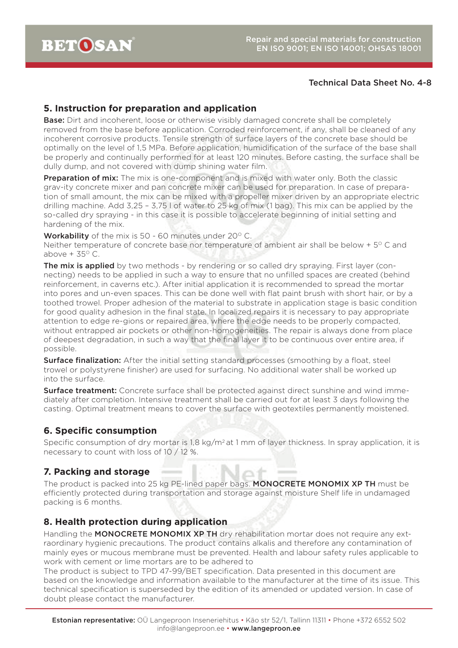#### Technical Data Sheet No. 4-8

## **5. Instruction for preparation and application**

**Base:** Dirt and incoherent, loose or otherwise visibly damaged concrete shall be completely removed from the base before application. Corroded reinforcement, if any, shall be cleaned of any incoherent corrosive products. Tensile strength of surface layers of the concrete base should be optimally on the level of 1,5 MPa. Before application, humidification of the surface of the base shall be properly and continually performed for at least 120 minutes. Before casting, the surface shall be dully dump, and not covered with dump shining water film.

**Preparation of mix:** The mix is one-component and is mixed with water only. Both the classic grav-ity concrete mixer and pan concrete mixer can be used for preparation. In case of preparation of small amount, the mix can be mixed with a propeller mixer driven by an appropriate electric drilling machine. Add 3,25 – 3,75 l of water to 25 kg of mix (1 bag). This mix can be applied by the so-called dry spraying - in this case it is possible to accelerate beginning of initial setting and hardening of the mix.

**Workability** of the mix is 50 - 60 minutes under 20 $^{\circ}$  C.

Neither temperature of concrete base nor temperature of ambient air shall be below  $+5^{\circ}$  C and above  $+35^{\circ}$  C.

**The mix is applied** by two methods - by rendering or so called dry spraying. First layer (connecting) needs to be applied in such a way to ensure that no unfilled spaces are created (behind reinforcement, in caverns etc.). After initial application it is recommended to spread the mortar into pores and un-even spaces. This can be done well with flat paint brush with short hair, or by a toothed trowel. Proper adhesion of the material to substrate in application stage is basic condition for good quality adhesion in the final state. In localized repairs it is necessary to pay appropriate attention to edge re-gions or repaired area, where the edge needs to be properly compacted, without entrapped air pockets or other non-homogeneities. The repair is always done from place of deepest degradation, in such a way that the final layer it to be continuous over entire area, if possible.

**Surface finalization:** After the initial setting standard processes (smoothing by a float, steel trowel or polystyrene finisher) are used for surfacing. No additional water shall be worked up into the surface.

**Surface treatment:** Concrete surface shall be protected against direct sunshine and wind immediately after completion. Intensive treatment shall be carried out for at least 3 days following the casting. Optimal treatment means to cover the surface with geotextiles permanently moistened.

# **6. Specific consumption**

Specific consumption of dry mortar is  $1.8 \text{ kg/m}^2$  at 1 mm of layer thickness. In spray application, it is necessary to count with loss of 10 / 12 %.

## **7. Packing and storage**

The product is packed into 25 kg PE-lined paper bags. MONOCRETE MONOMIX XP TH must be efficiently protected during transportation and storage against moisture Shelf life in undamaged packing is 6 months.

## **8. Health protection during application**

Handling the MONOCRETE MONOMIX XP TH dry rehabilitation mortar does not require any extraordinary hygienic precautions. The product contains alkalis and therefore any contamination of mainly eyes or mucous membrane must be prevented. Health and labour safety rules applicable to work with cement or lime mortars are to be adhered to

The product is subject to TPD 47-99/BET specification. Data presented in this document are based on the knowledge and information available to the manufacturer at the time of its issue. This technical specification is superseded by the edition of its amended or updated version. In case of doubt please contact the manufacturer.